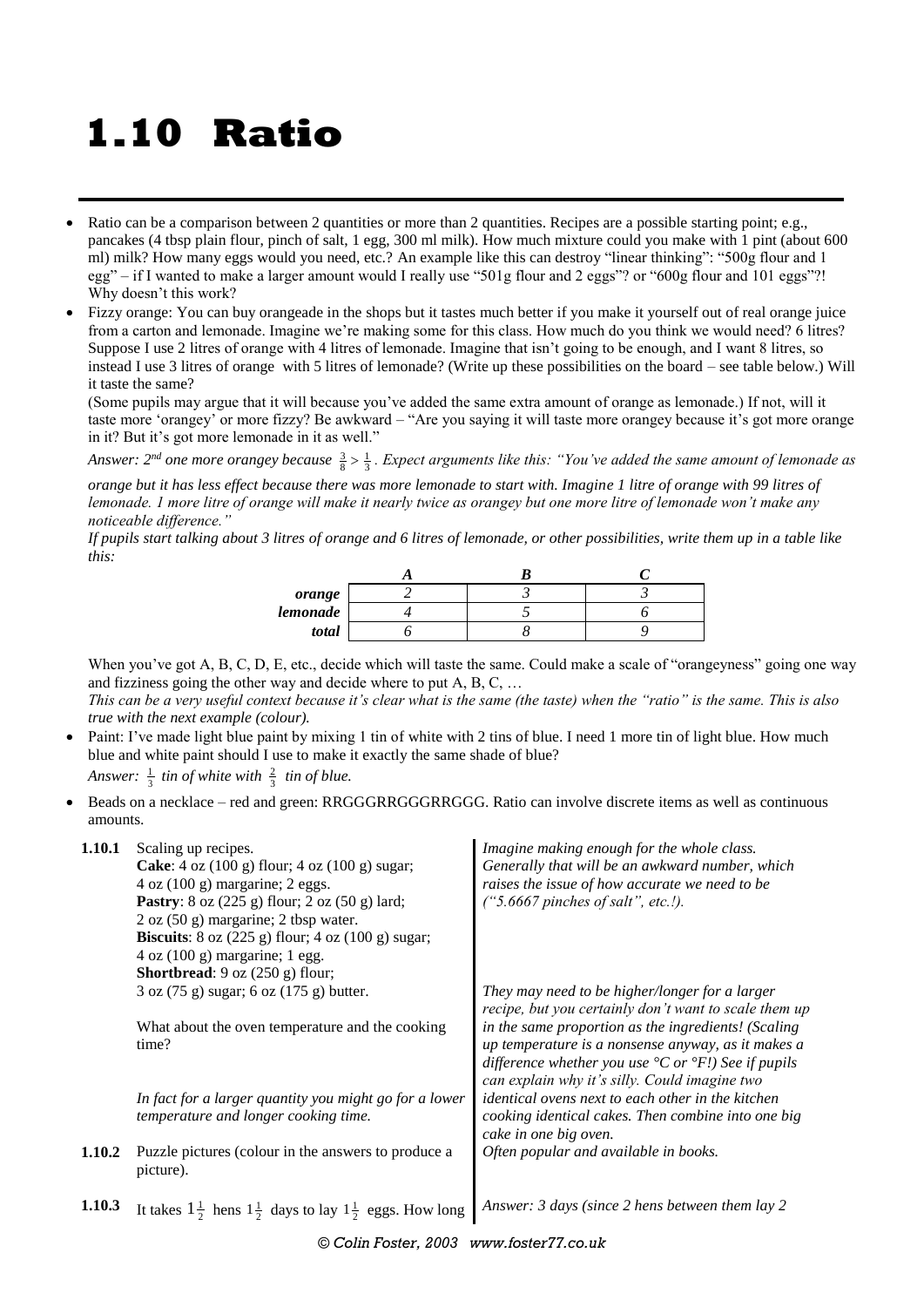## **1.10 Ratio**

- Ratio can be a comparison between 2 quantities or more than 2 quantities. Recipes are a possible starting point; e.g., pancakes (4 tbsp plain flour, pinch of salt, 1 egg, 300 ml milk). How much mixture could you make with 1 pint (about 600 ml) milk? How many eggs would you need, etc.? An example like this can destroy "linear thinking": "500g flour and 1 egg" – if I wanted to make a larger amount would I really use "501g flour and 2 eggs"? or "600g flour and 101 eggs"?! Why doesn't this work?
- Fizzy orange: You can buy orangeade in the shops but it tastes much better if you make it yourself out of real orange juice from a carton and lemonade. Imagine we're making some for this class. How much do you think we would need? 6 litres? Suppose I use 2 litres of orange with 4 litres of lemonade. Imagine that isn't going to be enough, and I want 8 litres, so instead I use 3 litres of orange with 5 litres of lemonade? (Write up these possibilities on the board – see table below.) Will it taste the same?

(Some pupils may argue that it will because you've added the same extra amount of orange as lemonade.) If not, will it taste more 'orangey' or more fizzy? Be awkward – "Are you saying it will taste more orangey because it's got more orange in it? But it's got more lemonade in it as well."

Answer: 2<sup>nd</sup> one more orangey because  $\frac{3}{8} > \frac{1}{3}$ . Expect arguments like this: "You've added the same amount of lemonade as

*orange but it has less effect because there was more lemonade to start with. Imagine 1 litre of orange with 99 litres of lemonade. 1 more litre of orange will make it nearly twice as orangey but one more litre of lemonade won't make any noticeable difference."*

*If pupils start talking about 3 litres of orange and 6 litres of lemonade, or other possibilities, write them up in a table like this:*

| orange   |  |  |
|----------|--|--|
| lemonade |  |  |
| total    |  |  |

When you've got A, B, C, D, E, etc., decide which will taste the same. Could make a scale of "orangeyness" going one way and fizziness going the other way and decide where to put A, B, C, …

*This can be a very useful context because it's clear what is the same (the taste) when the "ratio" is the same. This is also true with the next example (colour).*

- Paint: I've made light blue paint by mixing 1 tin of white with 2 tins of blue. I need 1 more tin of light blue. How much blue and white paint should I use to make it exactly the same shade of blue? Answer:  $\frac{1}{3}$  tin of white with  $\frac{2}{3}$  tin of blue.
- Beads on a necklace red and green: RRGGGRRGGGRRGGG. Ratio can involve discrete items as well as continuous amounts.

| Generally that will be an awkward number, which<br><b>Cake:</b> 4 oz $(100 \text{ g})$ flour; 4 oz $(100 \text{ g})$ sugar;<br>raises the issue of how accurate we need to be<br>$4$ oz $(100 \text{ g})$ margarine; 2 eggs. |  |
|------------------------------------------------------------------------------------------------------------------------------------------------------------------------------------------------------------------------------|--|
|                                                                                                                                                                                                                              |  |
|                                                                                                                                                                                                                              |  |
| $('5.6667$ pinches of salt", etc.!).<br><b>Pastry</b> : $8$ oz (225 g) flour; $2$ oz (50 g) lard;                                                                                                                            |  |
| $2$ oz (50 g) margarine; $2$ tbsp water.                                                                                                                                                                                     |  |
| <b>Biscuits:</b> $8$ oz (225 g) flour; $4$ oz (100 g) sugar;                                                                                                                                                                 |  |
| $4$ oz $(100 \text{ g})$ margarine; 1 egg.                                                                                                                                                                                   |  |
| <b>Shortbread</b> : $9$ oz $(250 \text{ g})$ flour;                                                                                                                                                                          |  |
| 3 oz (75 g) sugar; 6 oz (175 g) butter.<br>They may need to be higher/longer for a larger                                                                                                                                    |  |
| recipe, but you certainly don't want to scale them up                                                                                                                                                                        |  |
| in the same proportion as the ingredients! (Scaling<br>What about the oven temperature and the cooking                                                                                                                       |  |
| up temperature is a nonsense anyway, as it makes a<br>time?                                                                                                                                                                  |  |
| difference whether you use ${}^{\circ}C$ or ${}^{\circ}F$ . See if pupils                                                                                                                                                    |  |
| can explain why it's silly. Could imagine two                                                                                                                                                                                |  |
| identical ovens next to each other in the kitchen<br>In fact for a larger quantity you might go for a lower                                                                                                                  |  |
| temperature and longer cooking time.<br>cooking identical cakes. Then combine into one big                                                                                                                                   |  |
| cake in one big oven.                                                                                                                                                                                                        |  |
| Puzzle pictures (colour in the answers to produce a<br>Often popular and available in books.<br>1.10.2                                                                                                                       |  |
| picture).                                                                                                                                                                                                                    |  |
|                                                                                                                                                                                                                              |  |
| Answer: 3 days (since 2 hens between them lay 2<br>1.10.3<br>It takes $1\frac{1}{2}$ hens $1\frac{1}{2}$ days to lay $1\frac{1}{2}$ eggs. How long                                                                           |  |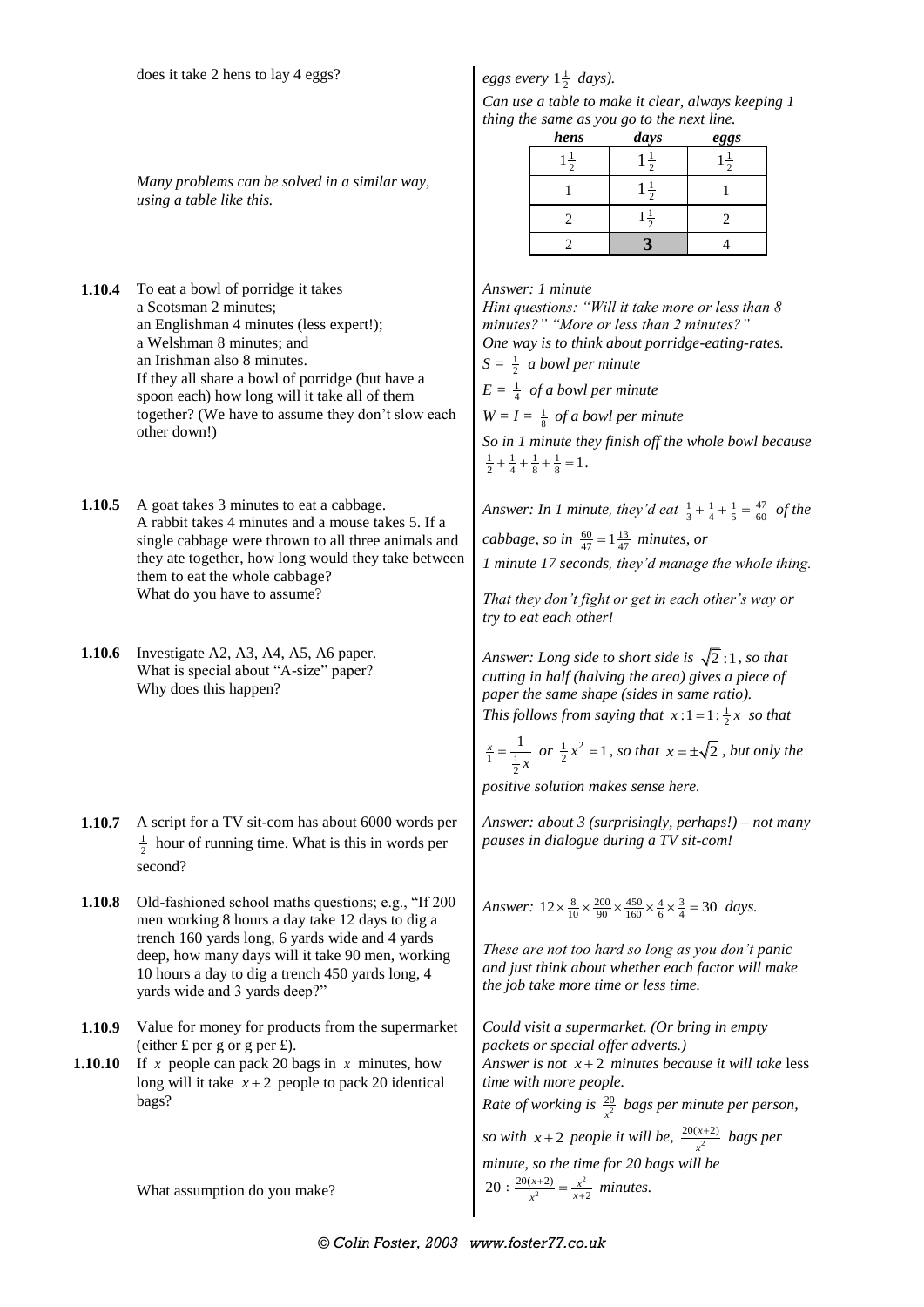## *Many problems can be solved in a similar way, using a table like this.*

- **1.10.4** To eat a bowl of porridge it takes a Scotsman 2 minutes; an Englishman 4 minutes (less expert!); a Welshman 8 minutes; and an Irishman also 8 minutes. If they all share a bowl of porridge (but have a spoon each) how long will it take all of them together? (We have to assume they don't slow each other down!)
- **1.10.5** A goat takes 3 minutes to eat a cabbage. A rabbit takes 4 minutes and a mouse takes 5. If a single cabbage were thrown to all three animals and they ate together, how long would they take between them to eat the whole cabbage? What do you have to assume?
- **1.10.6** Investigate A2, A3, A4, A5, A6 paper. What is special about "A-size" paper? Why does this happen?
- **1.10.7** A script for a TV sit-com has about 6000 words per  $\frac{1}{2}$  hour of running time. What is this in words per second?
- **1.10.8** Old-fashioned school maths questions; e.g., "If 200 men working 8 hours a day take 12 days to dig a trench 160 yards long, 6 yards wide and 4 yards deep, how many days will it take 90 men, working 10 hours a day to dig a trench 450 yards long, 4 yards wide and 3 yards deep?"
- **1.10.9** Value for money for products from the supermarket (either  $\pounds$  per g or g per  $\pounds$ ).
- **1.10.10** *x* people can pack 20 bags in *x* minutes, how long will it take  $x + 2$  people to pack 20 identical bags?

What assumption do you make?

## *eggs every*  $1\frac{1}{2}$  *days*).

*Can use a table to make it clear, always keeping 1 thing the same as you go to the next line.*

| hens           | days          | eggs          |
|----------------|---------------|---------------|
| $\overline{1}$ | $\frac{1}{2}$ | $\frac{1}{2}$ |
|                | $\frac{1}{2}$ |               |
|                | ÷             |               |
|                |               |               |

*Answer: 1 minute Hint questions: "Will it take more or less than 8 minutes?" "More or less than 2 minutes?"*

*One way is to think about porridge-eating-rates.*

 $S = \frac{1}{2}$  *a bowl per minute* 

 $E = \frac{1}{4}$  *of a bowl per minute* 

 $W = I = \frac{1}{8}$  *of a bowl per minute* 

*So in 1 minute they finish off the whole bowl because*   $\frac{1}{2} + \frac{1}{4} + \frac{1}{8} + \frac{1}{8} = 1$ .

*Answer: In 1 minute, they'd eat*  $\frac{1}{3} + \frac{1}{4} + \frac{1}{5} = \frac{47}{60}$  *of the* 

*cabbage, so in*  $\frac{60}{47} = 1\frac{13}{47}$  *minutes, or* 

*1 minute 17 seconds, they'd manage the whole thing.*

*That they don't fight or get in each other's way or try to eat each other!*

*Answer: Long side to short side is*  2 :1 *, so that cutting in half (halving the area) gives a piece of paper the same shape (sides in same ratio). This follows from saying that*  $x:1 = 1: \frac{1}{2}x$  *so that* 

$$
\frac{x}{1} = \frac{1}{\frac{1}{2}x}
$$
 or  $\frac{1}{2}x^2 = 1$ , so that  $x = \pm \sqrt{2}$ , but only the

*positive solution makes sense here.*

*Answer: about 3 (surprisingly, perhaps!) – not many pauses in dialogue during a TV sit-com!*

*Answer*:  $12 \times \frac{8}{10} \times \frac{200}{90} \times \frac{450}{160} \times \frac{4}{6} \times \frac{3}{4} = 30$  days.

*These are not too hard so long as you don't panic and just think about whether each factor will make the job take more time or less time.*

*Could visit a supermarket. (Or bring in empty packets or special offer adverts.) Answer is not x* 2 *minutes because it will take* less *time with more people. Rate of working is*  $\frac{20}{r^2}$ *x bags per minute per person, so with*  $x+2$  *people it will be,*  $\frac{20(x+2)}{x^2}$ *x bags per minute, so the time for 20 bags will be* 

$$
20 \div \frac{20(x+2)}{x^2} = \frac{x^2}{x+2}
$$
 minutes.